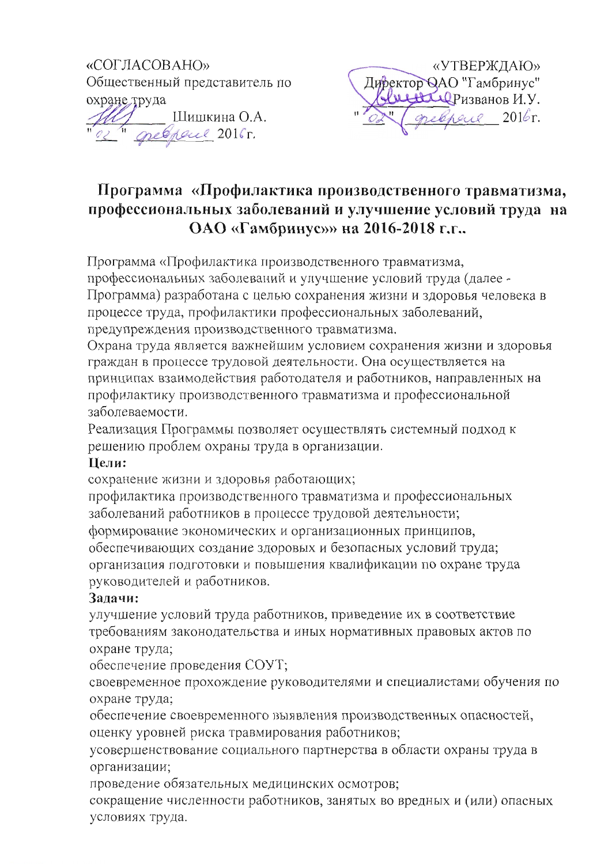



# Программа «Профилактика производственного травматизма, профессиональных заболеваний и улучшение условий труда на ОАО «Гамбринус»» на 2016-2018 г.г..

Программа «Профилактика производственного травматизма,

профессиональных заболеваний и улучшение условий труда (далее -Программа) разработана с целью сохранения жизни и здоровья человека в процессе труда, профилактики профессиональных заболеваний, предупреждения производственного травматизма.

Охрана труда является важнейшим условием сохранения жизни и здоровья граждан в процессе трудовой деятельности. Она осуществляется на принципах взаимодействия работодателя и работников, направленных на профилактику производственного травматизма и профессиональной заболеваемости.

Реализация Программы позволяет осуществлять системный подход к решению проблем охраны труда в организации.

## Цели:

сохранение жизни и здоровья работающих;

профилактика производственного травматизма и профессиональных заболеваний работников в процессе трудовой деятельности; формирование экономических и организационных принципов, обеспечивающих создание здоровых и безопасных условий труда; организация подготовки и повышения квалификации по охране труда руководителей и работников.

## Задачи:

улучшение условий труда работников, приведение их в соответствие требованиям законодательства и иных нормативных правовых актов по охране труда;

обеспечение проведения СОУТ;

своевременное прохождение руководителями и специалистами обучения по охране труда;

обеспечение своевременного выявления производственных опасностей, оценку уровней риска травмирования работников;

усовершенствование социального партнерства в области охраны труда в организации;

проведение обязательных медицинских осмотров;

сокращение численности работников, занятых во вредных и (или) опасных условиях труда.